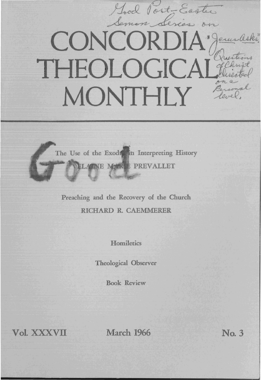# Good Post-Easter CONCORDIA erus THEOLOGICA MONTHLY

The Use of the Exode in Interpreting History ELATNE MARKE PREVALLET

Preaching and the Recovery of the Church RICHARD R. CAEMMERER

**Homiletics** 

Theological Observer

Book Review

Vol. XXXVII March 1966 No. 3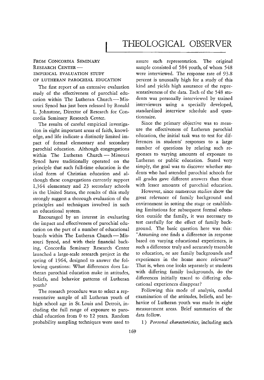## THEOLOGICAL OBSERVER

### FROM CONCORDIA SEMINARY RESEARCH CENTER-EMPIRICAL EVALUATION STUDY OF LUTHERAN PAROCHIAL EDUCATION

The first report of an extensive evaluation study of the effectiveness of parochial education within The Lutheran Church - Missouri Synod has just been released by Ronald 1. Johnstone, Director of Research for Concordia Seminary Research Center.

The results of careful empirical investigation in eight important areas of faith, knowledge, and life indicate a distinctly limited impact of formal elementary and secondary parochial education. Although congregations within The Lutheran Church - Missouri Synod have traditionally operated on the principle that such full-time education is the ideal form of Christian education and although these congregations currently support 1,364 elementary and 23 secondary schools in the United States, the results of this study strongly suggest a thorough evaluation of the principles and techniques involved in such an educational system.

Encouraged by an interest in evaluating the impact and effectiveness of parochial education on the part of a number of educational boards within The Lutheran Church - Missouri Synod, and with their financial backing, Concordia Seminary Research Center launched a large-scale research project in the spring of 1964, designed to answer the following questions: What differences does Lutheran parochial education make in attitudes, beliefs, and behavior patterns of Lutheran youth?

The research procedure was to select a representative sample of all Lutheran youth of high school age in St. Louis and Detroit, including the full range of exposure to parochial education from 0 to 12 years. Random probability sampling techniques were used to assure such representation. The original sample consisted of 584 youth, of whom 548 were interviewed. The response rate of 93.8 percent is unusually high for a study of this kind and yields high assurance of the representativeness of the data. Each of the 548 students was personally interviewed by trained interviewers using a specially developed, standardized interview schedule and questionnaire.

Since the primary objective was to measure the effectiveness of Lutheran parochial education, the initial task was to test for differences in students' responses to a large number of questions by relating such responses to varying amounts of exposure to Lutheran or public education. Stated very simply, the goal was to discover whether students who had attended parochial schools for all grades gave different answers than those with lesser amounts of parochial education.

However, since numerous studies show the great relevance of family background and environment in setting the stage or establishing limitations for subsequent formal education outside the family, it was necessary to test carefully for the effect of family background. The basic question here was this: "Assuming one finds a difference in response based on varying educational experiences, is such a difference truly and accurately traceable to education, or are family backgrounds and experiences in the home more relevant?" That is, when one looks separately at students with differing family backgrounds, do the differences initially traced to differing educational experiences disappear?

Following this mode of analysis, careful examination of the attitudes, beliefs, and behavior of Lutheran youth was made in eight measurement areas. Brief summaries of the data follow.

1) Personal characteristics, including such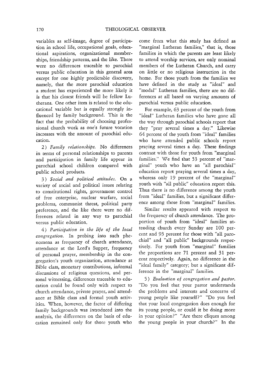variables as self-image, degree of participation in school life, occupational goals, educational aspirations, organizational memberships, friendship patterns, and the like. There were no differences traceable to parochial versus public education in this general area except for one highly predictable discovery, namely, that the more parochial education a student has experienced the more likely it is that his closest friends will be fellow Lutherans. One other item is related to the educational variable but is equally strongly influenced by family background. This is the fact that the probability of choosing professional church work as one's future vocation increases with the amount of parochial education.

2) Family relationships. No differences in terms of personal relationships to parents and participation in family life appear in parochial school children compared with public school products.

3) *Social and political attitudes.* On a variety of social and political issues relating to constitutional rights, government control of free enterprise, nuclear warfare, social problems, communist threat, political party preference, and the like there were no differences related in any way to parochial **versus** public **education.** 

4 ) *Participation in the life of the local congregation.* In probing into such phenomena as frequency of church attendance, attendance at the Lord's Supper, frequency of personal prayer, membership in the congregation's youth organization, attendance at Bible class, monetary contributions, informal discussions of religious questions, and personal witnessing, differences traceable to education could be found only with respect to church attendance, private prayer, and attendance at Bible class and formal youth activities. When, however, the factor of differing family backgrounds was introduced into the analysis, the differences on the basis of education remained only for those youth who

come from what this study has defined as "marginal Lutheran families," that is, those families in which the parents are least likely to attend worship services, are only nominal members of the Lutheran Church, and carry on little or no religious instruction in the home. For those youth from the families we have defined in the study as "ideal" and "modal" Lutheran families, there are no differences at all based on varying amounts of parochial versus public education.

For example, 63 percent of the youth from "ideal" Lutheran families who have gone all the way through parochial schools report that they "pray several times a day." Likewise 64 percent of the youth from "ideal" families who have attended public schools report praying several times a day. These findings contrast with those for youth from "marginal families." We find that 53 percent of "marginal" youth who have an "all parochial" education report praying several times a day, whereas only 19 percent of the "marginal" youth with "all public" education report this. Thus there is no difference among the youth from "ideal" families, but a significant difference among those from "marginal" families.

Similar results appeared with respect to the frequency of church attendance. The proportion of youth from "ideal" families attending church every Sunday are 100 percent and 93 percent for those with "all parochial" and "all public" backgrounds respectively. For youth from "marginal" families the proportions are 71 percent and 31 percent respectively. Again, no difference in the "ideal family" category; but a significant difference in the "marginal" families.

5) *Evaluation of congregation and pastor.* "Do you feel that your pastor understands the problems and interests and concerns of young people like yourself?" "Do you feel that your local congregation does enough for its young people, or could it be doing more in your opinion?" "Are there cliques among the young people in your church?" In the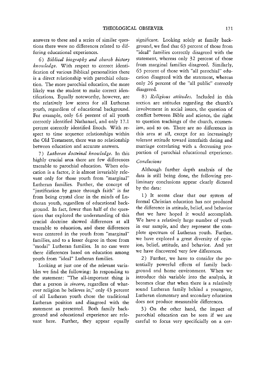answers to these and a series of similar questions there were no differences related to differing educational experiences.

 $6)$  Biblical biography and church history *knowledge.* With respect to correct identification of various Biblical personalities there is a direct relationship with parochial education. The more parochial education, the more likely was the student to make correct identifications. Equally noteworthy, however, are the relatively low scores for all Lutheran youth, regardless of educational background. For example, only 6.6 percent of all youth correctly identified Nathanael, and only 17.1 percent correctly identified Enoch. With respect to time sequence relationships within the Old Testament, there was no relationship between education and accurate answers.

7) *Lutheran doctrinal knowledge.* In this highly crucial area there are few differences traceable to parochial education. When education is a factor, it is almost invariably relevant only for those youth from "marginal" Lutheran families. Further, the concept of "justification by grace through faith" is far from being crystal clear in the minds of Lutheran youth, regardless of educational background. **In** fact, fewer than half of the questions that explored the understanding of this crucial doctrine showed differences at all traceable to education, and these differences were centered in the youth from "marginal" families, and to a lesser degree in those from "modal" Lutheran families. In no case were there differences based on education among youth from "ideal" Lutheran families.

Looking at just one of the relevant variables we find the following: In responding to the statement: "The all-important thing *is*  that a person is *sincere,* regardless of whatever religion he believes in," only 43 percent of all Lutheran youth chose the traditional Lutheran position and disagreed with the statement as presented. Both family background and educational experience are relevant here. Further, they appear equally significant. Looking solely at family background, we find that 63 percent of those from "ideal" families correctly disagreed with the statement, whereas only 32 percent of those from marginal families disagreed. Similarly, 65 percent of those with "all parochial" education disagreed with the statement, whereas only 26 percent of the "all public" correctly disagreed.

8) *Religious attitudes.* Included in this section are attitudes regarding the church's involvement in social issues, the question of conflict between Bible and science, the right to question teachings of the church, ecumenism, and so on. There are no differences in this area at all, except for an increasingly tolerant attitude toward interfaith dating and marriage correlating with a decreasing proportion of parochial educational experience.

#### *Conclusions*

Although further depth analysis of the data is still being done, the following preliminary conclusions appear clearly dictated by the data:

1) It seems clear that our system of formal Christian education has not produced the difference in attitude, belief, and behavior that we have hoped it would accomplish. We have a relatively large number of youth in our sample, and they represent the complete spectrum of Lutheran youth. Further, we have explored a great diversity of opinion, belief, attitude, and behavior. And yet we have discovered very few differences.

2) Further, we have to consider the potentially powerful effects of family background and home environment. When we introduce this variable into the analysis, it becomes clear that when there is a relatively sound Lutheran family behind a youngster, Lutheran elementary and secondary education does not produce measurable differences.

3) On the other hand, the impact of parochial education can be seen if we are careful to focus very specificially on a cer-